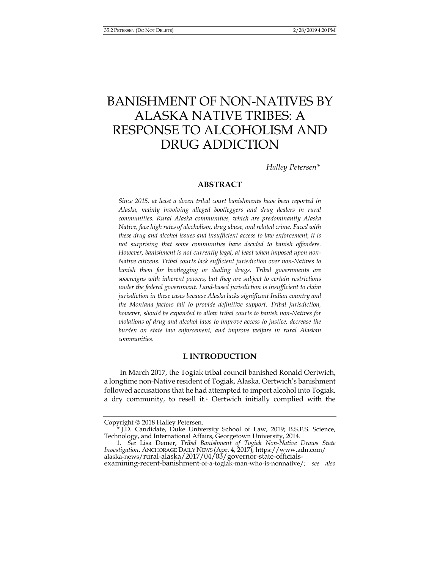# BANISHMENT OF NON-NATIVES BY ALASKA NATIVE TRIBES: A RESPONSE TO ALCOHOLISM AND DRUG ADDICTION

*Halley Petersen\** 

# **ABSTRACT**

*Since 2015, at least a dozen tribal court banishments have been reported in Alaska, mainly involving alleged bootleggers and drug dealers in rural communities. Rural Alaska communities, which are predominantly Alaska Native, face high rates of alcoholism, drug abuse, and related crime. Faced with these drug and alcohol issues and insufficient access to law enforcement, it is not surprising that some communities have decided to banish offenders. However, banishment is not currently legal, at least when imposed upon non-Native citizens. Tribal courts lack sufficient jurisdiction over non-Natives to*  banish them for bootlegging or dealing drugs. Tribal governments are *sovereigns with inherent powers, but they are subject to certain restrictions under the federal government. Land-based jurisdiction is insufficient to claim jurisdiction in these cases because Alaska lacks significant Indian country and the Montana factors fail to provide definitive support. Tribal jurisdiction, however, should be expanded to allow tribal courts to banish non-Natives for violations of drug and alcohol laws to improve access to justice, decrease the burden on state law enforcement, and improve welfare in rural Alaskan communities.* 

# **I. INTRODUCTION**

In March 2017, the Togiak tribal council banished Ronald Oertwich, a longtime non-Native resident of Togiak, Alaska. Oertwich's banishment followed accusations that he had attempted to import alcohol into Togiak, a dry community, to resell it.<sup>1</sup> Oertwich initially complied with the

Copyright  $@$  2018 Halley Petersen.

 <sup>\*</sup> J.D. Candidate, Duke University School of Law, 2019; B.S.F.S. Science, Technology, and International Affairs, Georgetown University, 2014.

 <sup>1.</sup> *See* Lisa Demer, *Tribal Banishment of Togiak Non-Native Draws State Investigation, ANCHORAGE DAILY NEWS (Apr. 4, 2017)*, https://www.adn.com/<br>alaska-news/rural-alaska/2017/04/03/governor-state-officialsexamining-recent-banishment-of-a-togiak-man-who-is-nonnative/; *see also*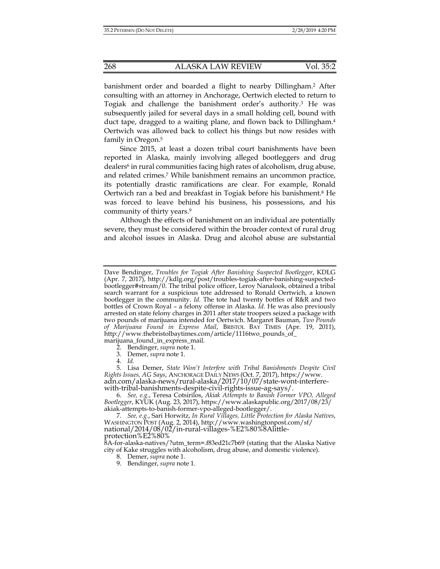banishment order and boarded a flight to nearby Dillingham.2 After consulting with an attorney in Anchorage, Oertwich elected to return to Togiak and challenge the banishment order's authority.3 He was subsequently jailed for several days in a small holding cell, bound with duct tape, dragged to a waiting plane, and flown back to Dillingham.4 Oertwich was allowed back to collect his things but now resides with family in Oregon.5

Since 2015, at least a dozen tribal court banishments have been reported in Alaska, mainly involving alleged bootleggers and drug dealers<sup>6</sup> in rural communities facing high rates of alcoholism, drug abuse, and related crimes.7 While banishment remains an uncommon practice, its potentially drastic ramifications are clear. For example, Ronald Oertwich ran a bed and breakfast in Togiak before his banishment.8 He was forced to leave behind his business, his possessions, and his community of thirty years.9

Although the effects of banishment on an individual are potentially severe, they must be considered within the broader context of rural drug and alcohol issues in Alaska. Drug and alcohol abuse are substantial

Dave Bendinger, *Troubles for Togiak After Banishing Suspected Bootlegger*, KDLG (Apr. 7, 2017), http://kdlg.org/post/troubles-togiak-after-banishing-suspectedbootlegger#stream/0. The tribal police officer, Leroy Nanalook, obtained a tribal search warrant for a suspicious tote addressed to Ronald Oertwich, a known bootlegger in the community. *Id.* The tote had twenty bottles of R&R and two bottles of Crown Royal – a felony offense in Alaska. *Id.* He was also previously arrested on state felony charges in 2011 after state troopers seized a package with two pounds of marijuana intended for Oertwich. Margaret Bauman, *Two Pounds of Marijuana Found in Express Mail*, BRISTOL BAY TIMES (Apr. 19, 2011), http://www.thebristolbaytimes.com/article/1116two\_pounds\_of\_ marijuana\_found\_in\_express\_mail.

 <sup>2.</sup> Bendinger, *supra* note 1.

 <sup>3.</sup> Demer, *supra* note 1.

 <sup>4.</sup> *Id.*

 <sup>5.</sup> Lisa Demer, *State Won't Interfere with Tribal Banishments Despite Civil Rights Issues, AG Says*, ANCHORAGE DAILY NEWS (Oct. 7, 2017), https://www. adn.com/alaska-news/rural-alaska/2017/10/07/state-wont-interferewith-tribal-banishments-despite-civil-rights-issue-ag-says/.

 <sup>6.</sup> *See, e.g.*, Teresa Cotsirilos, *Akiak Attempts to Banish Former VPO, Alleged Bootlegger*, KYUK (Aug. 23, 2017), https://www.alaskapublic.org/2017/08/23/ akiak-attempts-to-banish-former-vpo-alleged-bootlegger/.

 <sup>7.</sup> *See, e.g.*, Sari Horwitz, *In Rural Villages, Little Protection for Alaska Natives*, WASHINGTON POST (Aug. 2, 2014), http://www.washingtonpost.com/sf/ national/2014/08/02/in-rural-villages-%E2%80%8Alittleprotection%E2%80%

<sup>8</sup>A-for-alaska-natives/?utm\_term=.f83ed21c7b69 (stating that the Alaska Native city of Kake struggles with alcoholism, drug abuse, and domestic violence).

 <sup>8.</sup> Demer, *supra* note 1.

 <sup>9.</sup> Bendinger, *supra* note 1.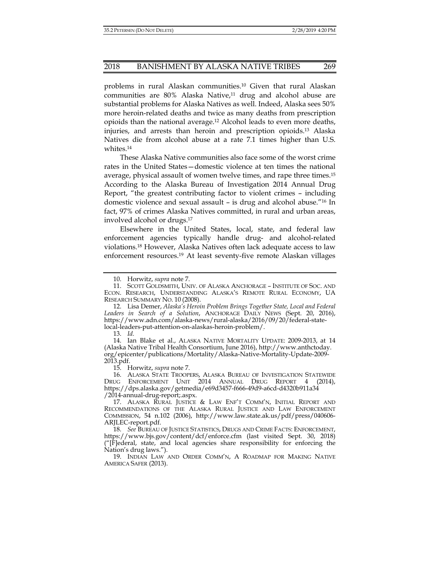problems in rural Alaskan communities.10 Given that rural Alaskan communities are  $80\%$  Alaska Native, $11$  drug and alcohol abuse are substantial problems for Alaska Natives as well. Indeed, Alaska sees 50% more heroin-related deaths and twice as many deaths from prescription opioids than the national average.12 Alcohol leads to even more deaths, injuries, and arrests than heroin and prescription opioids.13 Alaska Natives die from alcohol abuse at a rate 7.1 times higher than U.S. whites.14

These Alaska Native communities also face some of the worst crime rates in the United States—domestic violence at ten times the national average, physical assault of women twelve times, and rape three times.15 According to the Alaska Bureau of Investigation 2014 Annual Drug Report, "the greatest contributing factor to violent crimes – including domestic violence and sexual assault – is drug and alcohol abuse."16 In fact, 97% of crimes Alaska Natives committed, in rural and urban areas, involved alcohol or drugs.17

Elsewhere in the United States, local, state, and federal law enforcement agencies typically handle drug- and alcohol-related violations.18 However, Alaska Natives often lack adequate access to law enforcement resources.19 At least seventy-five remote Alaskan villages

 14. Ian Blake et al., ALASKA NATIVE MORTALITY UPDATE: 2009-2013, at 14 (Alaska Native Tribal Health Consortium, June 2016), http://www.anthctoday. org/epicenter/publications/Mortality/Alaska-Native-Mortality-Update-2009- 2013.pdf.

15. Horwitz, *supra* note 7.

 <sup>10.</sup> Horwitz, *supra* note 7.

 <sup>11.</sup> SCOTT GOLDSMITH, UNIV. OF ALASKA ANCHORAGE – INSTITUTE OF SOC. AND ECON. RESEARCH, UNDERSTANDING ALASKA'S REMOTE RURAL ECONOMY, UA RESEARCH SUMMARY NO. 10 (2008).

 <sup>12.</sup> Lisa Demer, *Alaska's Heroin Problem Brings Together State, Local and Federal Leaders in Search of a Solution*, ANCHORAGE DAILY NEWS (Sept. 20, 2016), https://www.adn.com/alaska-news/rural-alaska/2016/09/20/federal-statelocal-leaders-put-attention-on-alaskas-heroin-problem/.

 <sup>13.</sup> *Id.*

 <sup>16.</sup> ALASKA STATE TROOPERS, ALASKA BUREAU OF INVESTIGATION STATEWIDE DRUG ENFORCEMENT UNIT 2014 ANNUAL DRUG REPORT 4 (2014), https://dps.alaska.gov/getmedia/e69d3457-f666-49d9-a6cd-d4320b911a34 /2014-annual-drug-report;.aspx.

 <sup>17.</sup> ALASKA RURAL JUSTICE & LAW ENF'T COMM'N, INITIAL REPORT AND RECOMMENDATIONS OF THE ALASKA RURAL JUSTICE AND LAW ENFORCEMENT COMMISSION, 54 n.102 (2006), http://www.law.state.ak.us/pdf/press/040606- ARJLEC-report.pdf.

 <sup>18.</sup> *See* BUREAU OF JUSTICE STATISTICS, DRUGS AND CRIME FACTS: ENFORCEMENT, https://www.bjs.gov/content/dcf/enforce.cfm (last visited Sept. 30, 2018) ("[F]ederal, state, and local agencies share responsibility for enforcing the Nation's drug laws.").

 <sup>19.</sup> INDIAN LAW AND ORDER COMM'N, A ROADMAP FOR MAKING NATIVE AMERICA SAFER (2013).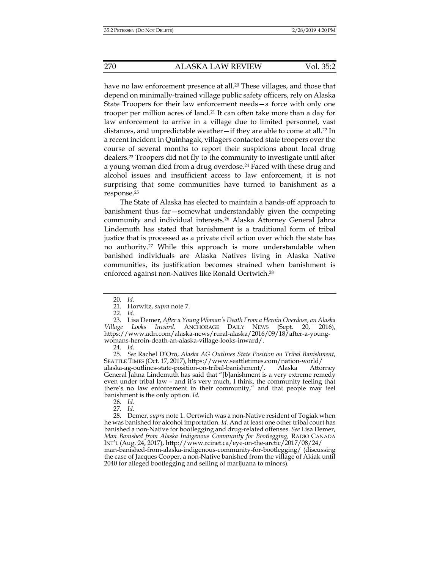have no law enforcement presence at all.<sup>20</sup> These villages, and those that depend on minimally-trained village public safety officers, rely on Alaska State Troopers for their law enforcement needs—a force with only one trooper per million acres of land.21 It can often take more than a day for law enforcement to arrive in a village due to limited personnel, vast distances, and unpredictable weather—if they are able to come at all.22 In a recent incident in Quinhagak, villagers contacted state troopers over the course of several months to report their suspicions about local drug dealers.23 Troopers did not fly to the community to investigate until after a young woman died from a drug overdose.24 Faced with these drug and alcohol issues and insufficient access to law enforcement, it is not surprising that some communities have turned to banishment as a response.25

The State of Alaska has elected to maintain a hands-off approach to banishment thus far—somewhat understandably given the competing community and individual interests.26 Alaska Attorney General Jahna Lindemuth has stated that banishment is a traditional form of tribal justice that is processed as a private civil action over which the state has no authority.27 While this approach is more understandable when banished individuals are Alaska Natives living in Alaska Native communities, its justification becomes strained when banishment is enforced against non-Natives like Ronald Oertwich.28

 <sup>20.</sup> *Id.*

 <sup>21.</sup> Horwitz, *supra* note 7.

 <sup>22.</sup> *Id.*

 <sup>23.</sup> Lisa Demer, *After a Young Woman's Death From a Heroin Overdose, an Alaska Village Looks Inward,* ANCHORAGE DAILY NEWS (Sept. 20, 2016), https://www.adn.com/alaska-news/rural-alaska/2016/09/18/after-a-youngwomans-heroin-death-an-alaska-village-looks-inward/.

 <sup>24.</sup> *Id.*

 <sup>25.</sup> *See* Rachel D'Oro, *Alaska AG Outlines State Position on Tribal Banishment*, SEATTLE TIMES (Oct. 17, 2017), https://www.seattletimes.com/nation-world/ alaska-ag-outlines-state-position-on-tribal-banishment/. Alaska Attorney General Jahna Lindemuth has said that "[b]anishment is a very extreme remedy even under tribal law – and it's very much, I think, the community feeling that there's no law enforcement in their community," and that people may feel banishment is the only option. *Id.*

 <sup>26.</sup> *Id.*

 <sup>27.</sup> *Id.*

 <sup>28.</sup> Demer, *supra* note 1. Oertwich was a non-Native resident of Togiak when he was banished for alcohol importation. *Id.* And at least one other tribal court has banished a non-Native for bootlegging and drug-related offenses. *See* Lisa Demer, *Man Banished from Alaska Indigenous Community for Bootlegging,* RADIO CANADA INT'L (Aug. 24, 2017), http://www.rcinet.ca/eye-on-the-arctic/2017/08/24/

man-banished-from-alaska-indigenous-community-for-bootlegging/ (discussing the case of Jacques Cooper, a non-Native banished from the village of Akiak until 2040 for alleged bootlegging and selling of marijuana to minors).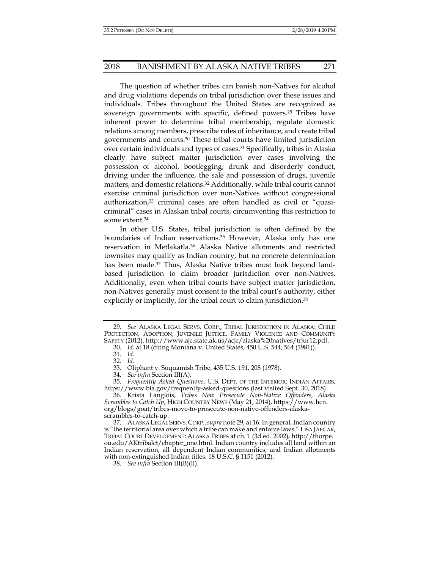The question of whether tribes can banish non-Natives for alcohol and drug violations depends on tribal jurisdiction over these issues and individuals. Tribes throughout the United States are recognized as sovereign governments with specific, defined powers.<sup>29</sup> Tribes have inherent power to determine tribal membership, regulate domestic relations among members, prescribe rules of inheritance, and create tribal governments and courts.30 These tribal courts have limited jurisdiction over certain individuals and types of cases.31 Specifically, tribes in Alaska clearly have subject matter jurisdiction over cases involving the possession of alcohol, bootlegging, drunk and disorderly conduct, driving under the influence, the sale and possession of drugs, juvenile matters, and domestic relations.32 Additionally, while tribal courts cannot exercise criminal jurisdiction over non-Natives without congressional authorization,<sup>33</sup> criminal cases are often handled as civil or "quasicriminal" cases in Alaskan tribal courts, circumventing this restriction to some extent.34

In other U.S. States, tribal jurisdiction is often defined by the boundaries of Indian reservations.<sup>35</sup> However, Alaska only has one reservation in Metlakatla.36 Alaska Native allotments and restricted townsites may qualify as Indian country, but no concrete determination has been made.37 Thus, Alaska Native tribes must look beyond landbased jurisdiction to claim broader jurisdiction over non-Natives. Additionally, even when tribal courts have subject matter jurisdiction, non-Natives generally must consent to the tribal court's authority, either explicitly or implicitly, for the tribal court to claim jurisdiction.<sup>38</sup>

 <sup>29.</sup> *See* ALASKA LEGAL SERVS. CORP., TRIBAL JURISDICTION IN ALASKA: CHILD PROTECTION, ADOPTION, JUVENILE JUSTICE, FAMILY VIOLENCE AND COMMUNITY SAFETY (2012), http://www.ajc.state.ak.us/acjc/alaska%20natives/trjur12.pdf.

 <sup>30.</sup> *Id.* at 18 (citing Montana v. United States, 450 U.S. 544, 564 (1981)).

 <sup>31.</sup> *Id.* 

 <sup>32.</sup> *Id.* 

 <sup>33.</sup> Oliphant v. Suquamish Tribe, 435 U.S. 191, 208 (1978).

 <sup>34.</sup> *See infra* Section III(A).

 <sup>35.</sup> *Frequently Asked Questions*, U.S. DEPT. OF THE INTERIOR: INDIAN AFFAIRS, https://www.bia.gov/frequently-asked-questions (last visited Sept. 30, 2018).

 <sup>36.</sup> Krista Langlois, *Tribes Now Prosecute Non-Native Offenders, Alaska Scrambles to Catch Up*, HIGH COUNTRY NEWS (May 21, 2014), https://www.hcn. org/blogs/goat/tribes-move-to-prosecute-non-native-offenders-alaskascrambles-to-catch-up.

 <sup>37.</sup> ALASKA LEGAL SERVS. CORP.,*supra* note 29, at 16. In general, Indian country is "the territorial area over which a tribe can make and enforce laws." LISA JAEGAR, TRIBAL COURT DEVELOPMENT: ALASKA TRIBES at ch. 1 (3d ed. 2002), http://thorpe. ou.edu/AKtribalct/chapter\_one.html. Indian country includes all land within an Indian reservation, all dependent Indian communities, and Indian allotments with non-extinguished Indian titles. 18 U.S.C. § 1151 (2012).

 <sup>38.</sup> *See infra* Section III(B)(ii).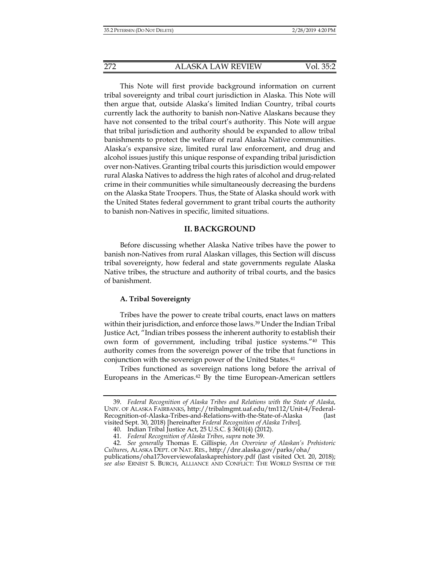This Note will first provide background information on current tribal sovereignty and tribal court jurisdiction in Alaska. This Note will then argue that, outside Alaska's limited Indian Country, tribal courts currently lack the authority to banish non-Native Alaskans because they have not consented to the tribal court's authority. This Note will argue that tribal jurisdiction and authority should be expanded to allow tribal banishments to protect the welfare of rural Alaska Native communities. Alaska's expansive size, limited rural law enforcement, and drug and alcohol issues justify this unique response of expanding tribal jurisdiction over non-Natives. Granting tribal courts this jurisdiction would empower rural Alaska Natives to address the high rates of alcohol and drug-related crime in their communities while simultaneously decreasing the burdens on the Alaska State Troopers. Thus, the State of Alaska should work with the United States federal government to grant tribal courts the authority to banish non-Natives in specific, limited situations.

## **II. BACKGROUND**

Before discussing whether Alaska Native tribes have the power to banish non-Natives from rural Alaskan villages, this Section will discuss tribal sovereignty, how federal and state governments regulate Alaska Native tribes, the structure and authority of tribal courts, and the basics of banishment.

# **A. Tribal Sovereignty**

Tribes have the power to create tribal courts, enact laws on matters within their jurisdiction, and enforce those laws.39 Under the Indian Tribal Justice Act, "Indian tribes possess the inherent authority to establish their own form of government, including tribal justice systems."40 This authority comes from the sovereign power of the tribe that functions in conjunction with the sovereign power of the United States.<sup>41</sup>

Tribes functioned as sovereign nations long before the arrival of Europeans in the Americas.42 By the time European-American settlers

 <sup>39.</sup> *Federal Recognition of Alaska Tribes and Relations with the State of Alaska*, UNIV. OF ALASKA FAIRBANKS, http://tribalmgmt.uaf.edu/tm112/Unit-4/Federal-Recognition-of-Alaska-Tribes-and-Relations-with-the-State-of-Alaska (last visited Sept. 30, 2018) [hereinafter *Federal Recognition of Alaska Tribes*].

 <sup>40.</sup> Indian Tribal Justice Act, 25 U.S.C. § 3601(4) (2012).

 <sup>41.</sup> *Federal Recognition of Alaska Tribes*, *supra* note 39.

 <sup>42.</sup> *See generally* Thomas E. Gillispie, *An Overview of Alaskan's Prehistoric Cultures*, ALASKA DEPT. OF NAT. RES., http://dnr.alaska.gov/parks/oha/

publications/oha173overviewofalaskaprehistory.pdf (last visited Oct. 20, 2018); *see also* ERNEST S. BURCH, ALLIANCE AND CONFLICT: THE WORLD SYSTEM OF THE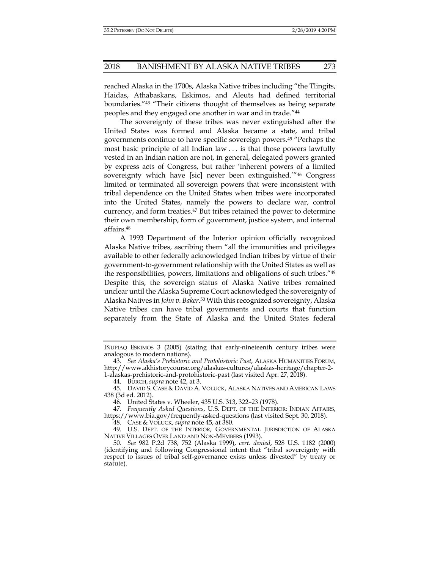reached Alaska in the 1700s, Alaska Native tribes including "the Tlingits, Haidas, Athabaskans, Eskimos, and Aleuts had defined territorial boundaries."43 "Their citizens thought of themselves as being separate peoples and they engaged one another in war and in trade."44

The sovereignty of these tribes was never extinguished after the United States was formed and Alaska became a state, and tribal governments continue to have specific sovereign powers.<sup>45</sup> "Perhaps the most basic principle of all Indian law . . . is that those powers lawfully vested in an Indian nation are not, in general, delegated powers granted by express acts of Congress, but rather 'inherent powers of a limited sovereignty which have [sic] never been extinguished.'"46 Congress limited or terminated all sovereign powers that were inconsistent with tribal dependence on the United States when tribes were incorporated into the United States, namely the powers to declare war, control currency, and form treaties.<sup>47</sup> But tribes retained the power to determine their own membership, form of government, justice system, and internal affairs.48

A 1993 Department of the Interior opinion officially recognized Alaska Native tribes, ascribing them "all the immunities and privileges available to other federally acknowledged Indian tribes by virtue of their government-to-government relationship with the United States as well as the responsibilities, powers, limitations and obligations of such tribes."49 Despite this, the sovereign status of Alaska Native tribes remained unclear until the Alaska Supreme Court acknowledged the sovereignty of Alaska Natives in *John v. Baker*. 50 With this recognized sovereignty, Alaska Native tribes can have tribal governments and courts that function separately from the State of Alaska and the United States federal

IÑUPIAQ ESKIMOS 3 (2005) (stating that early-nineteenth century tribes were analogous to modern nations).

 <sup>43.</sup> *See Alaska's Prehistoric and Protohistoric Past*, ALASKA HUMANITIES FORUM, http://www.akhistorycourse.org/alaskas-cultures/alaskas-heritage/chapter-2- 1-alaskas-prehistoric-and-protohistoric-past (last visited Apr. 27, 2018).

 <sup>44.</sup> BURCH, *supra* note 42, at 3.

 <sup>45.</sup> DAVID S. CASE & DAVID A. VOLUCK, ALASKA NATIVES AND AMERICAN LAWS 438 (3d ed. 2012).

 <sup>46.</sup> United States v. Wheeler, 435 U.S. 313, 322–23 (1978).

 <sup>47.</sup> *Frequently Asked Questions*, U.S. DEPT. OF THE INTERIOR: INDIAN AFFAIRS, https://www.bia.gov/frequently-asked-questions (last visited Sept. 30, 2018).

 <sup>48.</sup> CASE & VOLUCK, *supra* note 45, at 380.

 <sup>49.</sup> U.S. DEPT. OF THE INTERIOR, GOVERNMENTAL JURISDICTION OF ALASKA NATIVE VILLAGES OVER LAND AND NON-MEMBERS (1993).

 <sup>50.</sup> *See* 982 P.2d 738, 752 (Alaska 1999), *cert. denied*, 528 U.S. 1182 (2000) (identifying and following Congressional intent that "tribal sovereignty with respect to issues of tribal self-governance exists unless divested" by treaty or statute).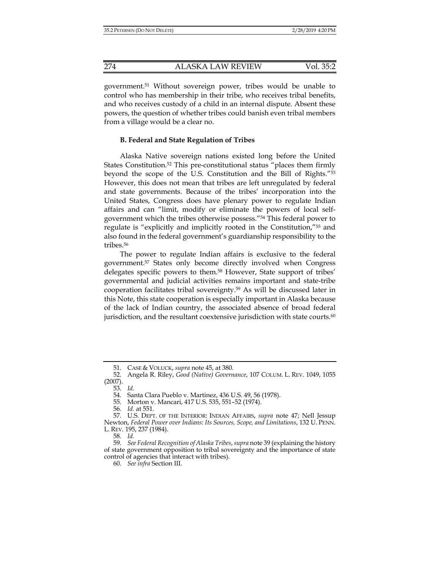government.51 Without sovereign power, tribes would be unable to control who has membership in their tribe, who receives tribal benefits, and who receives custody of a child in an internal dispute. Absent these powers, the question of whether tribes could banish even tribal members from a village would be a clear no.

## **B. Federal and State Regulation of Tribes**

Alaska Native sovereign nations existed long before the United States Constitution.<sup>52</sup> This pre-constitutional status "places them firmly beyond the scope of the U.S. Constitution and the Bill of Rights."53 However, this does not mean that tribes are left unregulated by federal and state governments. Because of the tribes' incorporation into the United States, Congress does have plenary power to regulate Indian affairs and can "limit, modify or eliminate the powers of local selfgovernment which the tribes otherwise possess."54 This federal power to regulate is "explicitly and implicitly rooted in the Constitution,"55 and also found in the federal government's guardianship responsibility to the tribes.<sup>56</sup>

The power to regulate Indian affairs is exclusive to the federal government.57 States only become directly involved when Congress delegates specific powers to them.<sup>58</sup> However, State support of tribes' governmental and judicial activities remains important and state-tribe cooperation facilitates tribal sovereignty.59 As will be discussed later in this Note, this state cooperation is especially important in Alaska because of the lack of Indian country, the associated absence of broad federal jurisdiction, and the resultant coextensive jurisdiction with state courts. $60$ 

58. *Id.* 

 <sup>51.</sup> CASE & VOLUCK, *supra* note 45, at 380.

 <sup>52.</sup> Angela R. Riley, *Good (Native) Governance*, 107 COLUM. L. REV. 1049, 1055 (2007).

 <sup>53.</sup> *Id.*

 <sup>54.</sup> Santa Clara Pueblo v. Martinez, 436 U.S. 49, 56 (1978).

 <sup>55.</sup> Morton v. Mancari, 417 U.S. 535, 551–52 (1974).

 <sup>56.</sup> *Id.* at 551.

 <sup>57.</sup> U.S. DEPT. OF THE INTERIOR: INDIAN AFFAIRS, *supra* note 47; Nell Jessup Newton, *Federal Power over Indians: Its Sources, Scope, and Limitations*, 132 U. PENN. L. REV. 195, 237 (1984).

 <sup>59.</sup> *See Federal Recognition of Alaska Tribes*, *supra* note 39 (explaining the history of state government opposition to tribal sovereignty and the importance of state control of agencies that interact with tribes).

 <sup>60.</sup> *See infra* Section III.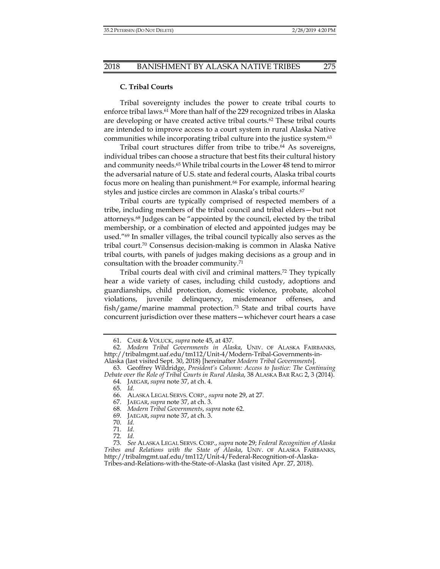# **C. Tribal Courts**

Tribal sovereignty includes the power to create tribal courts to enforce tribal laws.<sup>61</sup> More than half of the 229 recognized tribes in Alaska are developing or have created active tribal courts.<sup>62</sup> These tribal courts are intended to improve access to a court system in rural Alaska Native communities while incorporating tribal culture into the justice system.63

Tribal court structures differ from tribe to tribe.<sup>64</sup> As sovereigns, individual tribes can choose a structure that best fits their cultural history and community needs.65 While tribal courts in the Lower 48 tend to mirror the adversarial nature of U.S. state and federal courts, Alaska tribal courts focus more on healing than punishment.<sup>66</sup> For example, informal hearing styles and justice circles are common in Alaska's tribal courts.67

Tribal courts are typically comprised of respected members of a tribe, including members of the tribal council and tribal elders—but not attorneys.68 Judges can be "appointed by the council, elected by the tribal membership, or a combination of elected and appointed judges may be used."69 In smaller villages, the tribal council typically also serves as the tribal court.70 Consensus decision-making is common in Alaska Native tribal courts, with panels of judges making decisions as a group and in consultation with the broader community.71

Tribal courts deal with civil and criminal matters.72 They typically hear a wide variety of cases, including child custody, adoptions and guardianships, child protection, domestic violence, probate, alcohol violations, juvenile delinquency, misdemeanor offenses, and fish/game/marine mammal protection.73 State and tribal courts have concurrent jurisdiction over these matters—whichever court hears a case

65. *Id.* 

 <sup>61.</sup> CASE & VOLUCK, *supra* note 45, at 437.

 <sup>62.</sup> *Modern Tribal Governments in Alaska*, UNIV. OF ALASKA FAIRBANKS, http://tribalmgmt.uaf.edu/tm112/Unit-4/Modern-Tribal-Governments-in-

Alaska (last visited Sept. 30, 2018) [hereinafter *Modern Tribal Governments*].

 <sup>63.</sup> Geoffrey Wildridge, *President's Column: Access to Justice: The Continuing Debate over the Role of Tribal Courts in Rural Alaska*, 38 ALASKA BAR RAG 2, 3 (2014). 64. JAEGAR, *supra* note 37, at ch. 4.

 <sup>66.</sup> ALASKA LEGAL SERVS. CORP., *supra* note 29, at 27.

 <sup>67.</sup> JAEGAR, *supra* note 37, at ch. 3.

 <sup>68.</sup> *Modern Tribal Governments*, *supra* note 62.

 <sup>69.</sup> JAEGAR, *supra* note 37, at ch. 3.

 <sup>70.</sup> *Id.* 

 <sup>71.</sup> *Id.*

 <sup>72.</sup> *Id.* 

 <sup>73.</sup> *See* ALASKA LEGAL SERVS. CORP., *supra* note 29; *Federal Recognition of Alaska Tribes and Relations with the State of Alaska*, UNIV. OF ALASKA FAIRBANKS, http://tribalmgmt.uaf.edu/tm112/Unit-4/Federal-Recognition-of-Alaska-Tribes-and-Relations-with-the-State-of-Alaska (last visited Apr. 27, 2018).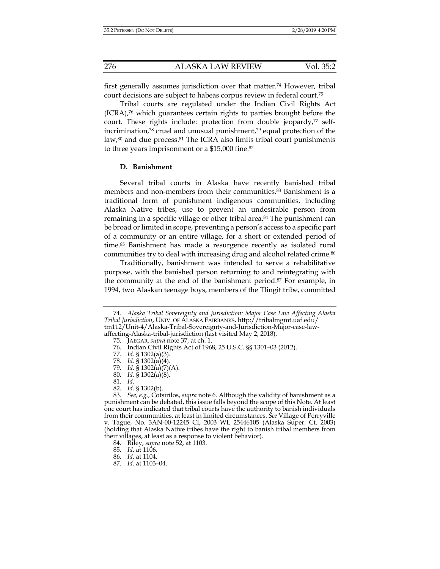first generally assumes jurisdiction over that matter.74 However, tribal court decisions are subject to habeas corpus review in federal court.75

Tribal courts are regulated under the Indian Civil Rights Act  $(ICRA)$ ,<sup>76</sup> which guarantees certain rights to parties brought before the court. These rights include: protection from double jeopardy,<sup>77</sup> selfincrimination,78 cruel and unusual punishment,79 equal protection of the law, $80$  and due process. $81$  The ICRA also limits tribal court punishments to three years imprisonment or a \$15,000 fine.82

# **D. Banishment**

Several tribal courts in Alaska have recently banished tribal members and non-members from their communities.83 Banishment is a traditional form of punishment indigenous communities, including Alaska Native tribes, use to prevent an undesirable person from remaining in a specific village or other tribal area.<sup>84</sup> The punishment can be broad or limited in scope, preventing a person's access to a specific part of a community or an entire village, for a short or extended period of time.85 Banishment has made a resurgence recently as isolated rural communities try to deal with increasing drug and alcohol related crime.<sup>86</sup>

Traditionally, banishment was intended to serve a rehabilitative purpose, with the banished person returning to and reintegrating with the community at the end of the banishment period.87 For example, in 1994, two Alaskan teenage boys, members of the Tlingit tribe, committed

80. *Id.* § 1302(a)(8).

82. *Id.* § 1302(b).

 <sup>74.</sup> *Alaska Tribal Sovereignty and Jurisdiction: Major Case Law Affecting Alaska Tribal Jurisdiction*, UNIV. OF ALASKA FAIRBANKS, http://tribalmgmt.uaf.edu/ tm112/Unit-4/Alaska-Tribal-Sovereignty-and-Jurisdiction-Major-case-lawaffecting-Alaska-tribal-jurisdiction (last visited May 2, 2018).

 <sup>75.</sup> JAEGAR, *supra* note 37, at ch. 1.

 <sup>76.</sup> Indian Civil Rights Act of 1968, 25 U.S.C. §§ 1301–03 (2012).

 <sup>77.</sup> *Id.* § 1302(a)(3).

 <sup>78.</sup> *Id.* § 1302(a)(4).

 <sup>79.</sup> *Id.* § 1302(a)(7)(A).

 <sup>81.</sup> *Id.*

 <sup>83.</sup> *See, e.g.*, Cotsirilos, *supra* note 6. Although the validity of banishment as a punishment can be debated, this issue falls beyond the scope of this Note. At least one court has indicated that tribal courts have the authority to banish individuals from their communities, at least in limited circumstances. *See* Village of Perryville v. Tague, No. 3AN-00-12245 CI, 2003 WL 25446105 (Alaska Super. Ct. 2003) (holding that Alaska Native tribes have the right to banish tribal members from their villages, at least as a response to violent behavior).

 <sup>84.</sup> Riley, *supra* note 52, at 1103.

 <sup>85.</sup> *Id.* at 1106.

 <sup>86.</sup> *Id.* at 1104.

 <sup>87.</sup> *Id.* at 1103–04.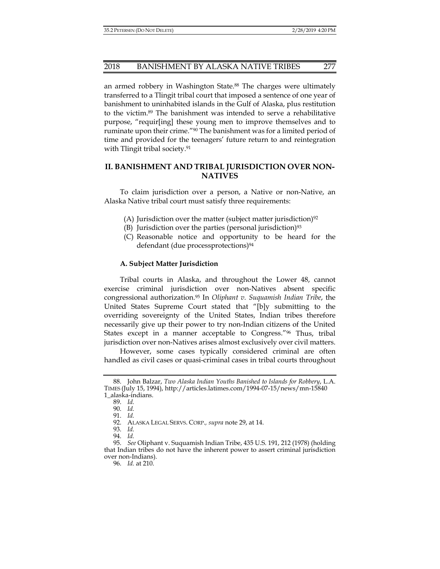an armed robbery in Washington State.<sup>88</sup> The charges were ultimately transferred to a Tlingit tribal court that imposed a sentence of one year of banishment to uninhabited islands in the Gulf of Alaska, plus restitution to the victim.89 The banishment was intended to serve a rehabilitative purpose, "requir[ing] these young men to improve themselves and to ruminate upon their crime."90 The banishment was for a limited period of time and provided for the teenagers' future return to and reintegration with Tlingit tribal society.<sup>91</sup>

# **II. BANISHMENT AND TRIBAL JURISDICTION OVER NON-NATIVES**

To claim jurisdiction over a person, a Native or non-Native, an Alaska Native tribal court must satisfy three requirements:

- (A) Jurisdiction over the matter (subject matter jurisdiction)<sup>92</sup>
- (B) Jurisdiction over the parties (personal jurisdiction)<sup>93</sup>
- (C) Reasonable notice and opportunity to be heard for the defendant (due processprotections)<sup>94</sup>

## **A. Subject Matter Jurisdiction**

Tribal courts in Alaska, and throughout the Lower 48, cannot exercise criminal jurisdiction over non-Natives absent specific congressional authorization.95 In *Oliphant v. Suquamish Indian Tribe*, the United States Supreme Court stated that "[b]y submitting to the overriding sovereignty of the United States, Indian tribes therefore necessarily give up their power to try non-Indian citizens of the United States except in a manner acceptable to Congress."96 Thus, tribal jurisdiction over non-Natives arises almost exclusively over civil matters.

However, some cases typically considered criminal are often handled as civil cases or quasi-criminal cases in tribal courts throughout

 <sup>88.</sup> John Balzar, *Two Alaska Indian Youths Banished to Islands for Robbery*, L.A. TIMES (July 15, 1994), http://articles.latimes.com/1994-07-15/news/mn-15840 1\_alaska-indians.

 <sup>89.</sup> *Id.* 

 <sup>90.</sup> *Id.* 

 <sup>91.</sup> *Id.* 

 <sup>92.</sup> ALASKA LEGAL SERVS. CORP.*, supra* note 29, at 14.

 <sup>93.</sup> *Id.* 

 <sup>94.</sup> *Id.* 

 <sup>95.</sup> *See* Oliphant v. Suquamish Indian Tribe, 435 U.S. 191, 212 (1978) (holding that Indian tribes do not have the inherent power to assert criminal jurisdiction over non-Indians).

 <sup>96.</sup> *Id.* at 210.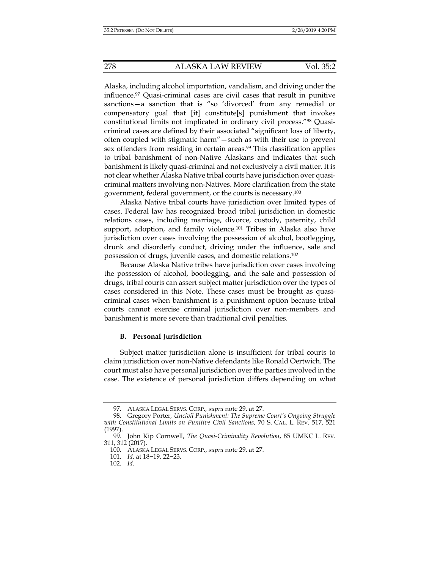Alaska, including alcohol importation, vandalism, and driving under the influence.97 Quasi-criminal cases are civil cases that result in punitive sanctions—a sanction that is "so 'divorced' from any remedial or compensatory goal that [it] constitute[s] punishment that invokes constitutional limits not implicated in ordinary civil process."98 Quasicriminal cases are defined by their associated "significant loss of liberty, often coupled with stigmatic harm"—such as with their use to prevent sex offenders from residing in certain areas.<sup>99</sup> This classification applies to tribal banishment of non-Native Alaskans and indicates that such banishment is likely quasi-criminal and not exclusively a civil matter. It is not clear whether Alaska Native tribal courts have jurisdiction over quasicriminal matters involving non-Natives. More clarification from the state government, federal government, or the courts is necessary.100

Alaska Native tribal courts have jurisdiction over limited types of cases. Federal law has recognized broad tribal jurisdiction in domestic relations cases, including marriage, divorce, custody, paternity, child support, adoption, and family violence.<sup>101</sup> Tribes in Alaska also have jurisdiction over cases involving the possession of alcohol, bootlegging, drunk and disorderly conduct, driving under the influence, sale and possession of drugs, juvenile cases, and domestic relations.102

Because Alaska Native tribes have jurisdiction over cases involving the possession of alcohol, bootlegging, and the sale and possession of drugs, tribal courts can assert subject matter jurisdiction over the types of cases considered in this Note. These cases must be brought as quasicriminal cases when banishment is a punishment option because tribal courts cannot exercise criminal jurisdiction over non-members and banishment is more severe than traditional civil penalties.

## **B. Personal Jurisdiction**

Subject matter jurisdiction alone is insufficient for tribal courts to claim jurisdiction over non-Native defendants like Ronald Oertwich. The court must also have personal jurisdiction over the parties involved in the case. The existence of personal jurisdiction differs depending on what

 <sup>97.</sup> ALASKA LEGAL SERVS. CORP.*, supra* note 29, at 27.

 <sup>98.</sup> Gregory Porter*, Uncivil Punishment: The Supreme Court's Ongoing Struggle with Constitutional Limits on Punitive Civil Sanctions*, 70 S. CAL. L. REV. 517, 521 (1997).

 <sup>99.</sup> John Kip Cornwell, *The Quasi-Criminality Revolution*, 85 UMKC L. REV. 311, 312 (2017).

<sup>100</sup>*.* ALASKA LEGAL SERVS. CORP., *supra* note 29, at 27.

 <sup>101.</sup> *Id.* at 18−19, 22−23.

 <sup>102.</sup> *Id.*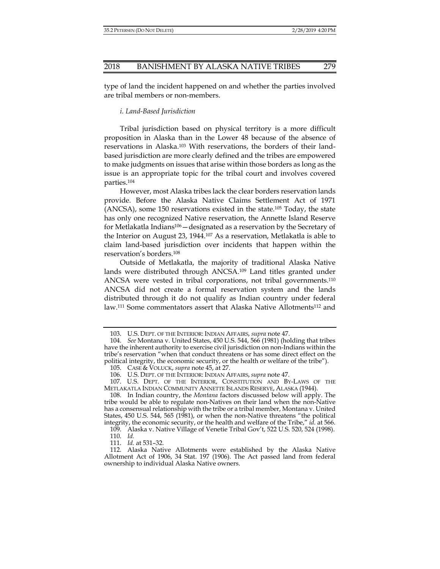type of land the incident happened on and whether the parties involved are tribal members or non-members.

*i. Land-Based Jurisdiction* 

Tribal jurisdiction based on physical territory is a more difficult proposition in Alaska than in the Lower 48 because of the absence of reservations in Alaska.103 With reservations, the borders of their landbased jurisdiction are more clearly defined and the tribes are empowered to make judgments on issues that arise within those borders as long as the issue is an appropriate topic for the tribal court and involves covered parties.104

However, most Alaska tribes lack the clear borders reservation lands provide. Before the Alaska Native Claims Settlement Act of 1971 (ANCSA), some 150 reservations existed in the state.105 Today, the state has only one recognized Native reservation, the Annette Island Reserve for Metlakatla Indians106—designated as a reservation by the Secretary of the Interior on August 23, 1944.107 As a reservation, Metlakatla is able to claim land-based jurisdiction over incidents that happen within the reservation's borders.108

Outside of Metlakatla, the majority of traditional Alaska Native lands were distributed through ANCSA.109 Land titles granted under ANCSA were vested in tribal corporations, not tribal governments.110 ANCSA did not create a formal reservation system and the lands distributed through it do not qualify as Indian country under federal law.111 Some commentators assert that Alaska Native Allotments112 and

111. *Id.* at 531–32.

 <sup>103.</sup> U.S. DEPT. OF THE INTERIOR: INDIAN AFFAIRS, *supra* note 47.

 <sup>104.</sup> *See* Montana v. United States, 450 U.S. 544, 566 (1981) (holding that tribes have the inherent authority to exercise civil jurisdiction on non-Indians within the tribe's reservation "when that conduct threatens or has some direct effect on the political integrity, the economic security, or the health or welfare of the tribe").

 <sup>105.</sup> CASE & VOLUCK, *supra* note 45, at 27.

 <sup>106.</sup> U.S. DEPT. OF THE INTERIOR: INDIAN AFFAIRS, *supra* note 47.

 <sup>107.</sup> U.S. DEPT. OF THE INTERIOR, CONSTITUTION AND BY-LAWS OF THE METLAKATLA INDIAN COMMUNITY ANNETTE ISLANDS RESERVE, ALASKA (1944).

 <sup>108.</sup> In Indian country, the *Montana* factors discussed below will apply. The tribe would be able to regulate non-Natives on their land when the non-Native has a consensual relationship with the tribe or a tribal member, Montana v. United States, 450 U.S. 544, 565 (1981), or when the non-Native threatens "the political integrity, the economic security, or the health and welfare of the Tribe," *id.* at 566.

 <sup>109.</sup> Alaska v. Native Village of Venetie Tribal Gov't, 522 U.S. 520, 524 (1998). 110. *Id.* 

 <sup>112.</sup> Alaska Native Allotments were established by the Alaska Native Allotment Act of 1906, 34 Stat. 197 (1906). The Act passed land from federal ownership to individual Alaska Native owners.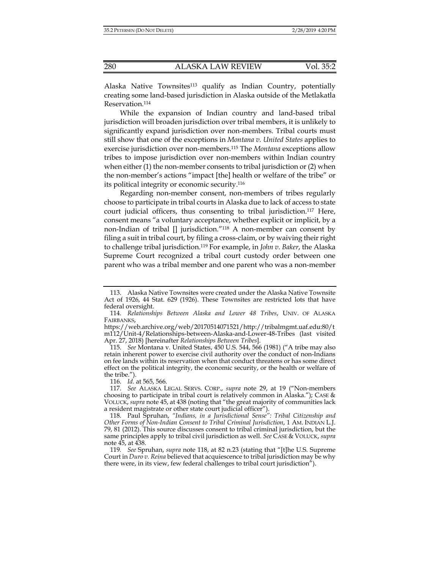Alaska Native Townsites<sup>113</sup> qualify as Indian Country, potentially creating some land-based jurisdiction in Alaska outside of the Metlakatla Reservation.114

While the expansion of Indian country and land-based tribal jurisdiction will broaden jurisdiction over tribal members, it is unlikely to significantly expand jurisdiction over non-members. Tribal courts must still show that one of the exceptions in *Montana v. United States* applies to exercise jurisdiction over non-members.115 The *Montana* exceptions allow tribes to impose jurisdiction over non-members within Indian country when either (1) the non-member consents to tribal jurisdiction or (2) when the non-member's actions "impact [the] health or welfare of the tribe" or its political integrity or economic security.116

Regarding non-member consent, non-members of tribes regularly choose to participate in tribal courts in Alaska due to lack of access to state court judicial officers, thus consenting to tribal jurisdiction.117 Here, consent means "a voluntary acceptance, whether explicit or implicit, by a non-Indian of tribal [] jurisdiction."118 A non-member can consent by filing a suit in tribal court, by filing a cross-claim, or by waiving their right to challenge tribal jurisdiction.119 For example, in *John v. Baker*, the Alaska Supreme Court recognized a tribal court custody order between one parent who was a tribal member and one parent who was a non-member

 115. *See* Montana v. United States, 450 U.S. 544, 566 (1981) ("A tribe may also retain inherent power to exercise civil authority over the conduct of non-Indians on fee lands within its reservation when that conduct threatens or has some direct effect on the political integrity, the economic security, or the health or welfare of the tribe.").

116. *Id.* at 565, 566.

 <sup>113.</sup> Alaska Native Townsites were created under the Alaska Native Townsite Act of 1926, 44 Stat. 629 (1926). These Townsites are restricted lots that have federal oversight.

 <sup>114.</sup> *Relationships Between Alaska and Lower 48 Tribes*, UNIV. OF ALASKA FAIRBANKS,

https://web.archive.org/web/20170514071521/http://tribalmgmt.uaf.edu:80/t m112/Unit-4/Relationships-between-Alaska-and-Lower-48-Tribes (last visited Apr. 27, 2018) [hereinafter *Relationships Between Tribes*].

 <sup>117.</sup> *See* ALASKA LEGAL SERVS. CORP., *supra* note 29, at 19 ("Non-members choosing to participate in tribal court is relatively common in Alaska."); CASE & VOLUCK, *supra* note 45, at 438 (noting that "the great majority of communities lack a resident magistrate or other state court judicial officer").

 <sup>118.</sup> Paul Spruhan, *"Indians, in a Jurisdictional Sense": Tribal Citizenship and Other Forms of Non-Indian Consent to Tribal Criminal Jurisdiction*, 1 AM. INDIAN L.J. 79, 81 (2012). This source discusses consent to tribal criminal jurisdiction, but the same principles apply to tribal civil jurisdiction as well. *See* CASE & VOLUCK, *supra* note 45, at 438.

<sup>119</sup>*. See* Spruhan, *supra* note 118, at 82 n.23 (stating that "[t]he U.S. Supreme Court in *Duro v. Reina* believed that acquiescence to tribal jurisdiction may be why there were, in its view, few federal challenges to tribal court jurisdiction").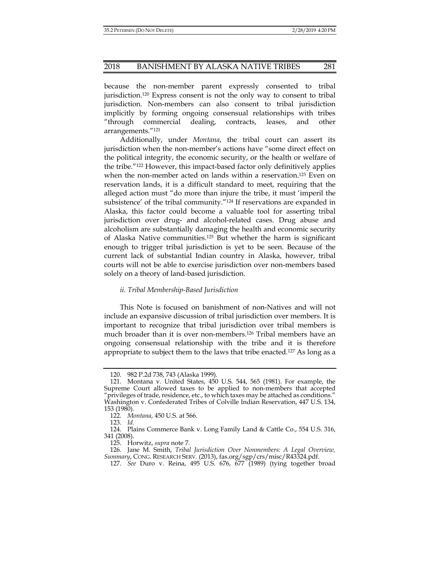because the non-member parent expressly consented to tribal jurisdiction.120 Express consent is not the only way to consent to tribal jurisdiction. Non-members can also consent to tribal jurisdiction implicitly by forming ongoing consensual relationships with tribes "through commercial dealing, contracts, leases, and other arrangements."121

Additionally, under *Montana*, the tribal court can assert its jurisdiction when the non-member's actions have "some direct effect on the political integrity, the economic security, or the health or welfare of the tribe."122 However, this impact-based factor only definitively applies when the non-member acted on lands within a reservation.<sup>123</sup> Even on reservation lands, it is a difficult standard to meet, requiring that the alleged action must "do more than injure the tribe, it must 'imperil the subsistence' of the tribal community."124 If reservations are expanded in Alaska, this factor could become a valuable tool for asserting tribal jurisdiction over drug- and alcohol-related cases. Drug abuse and alcoholism are substantially damaging the health and economic security of Alaska Native communities.125 But whether the harm is significant enough to trigger tribal jurisdiction is yet to be seen. Because of the current lack of substantial Indian country in Alaska, however, tribal courts will not be able to exercise jurisdiction over non-members based solely on a theory of land-based jurisdiction.

## *ii. Tribal Membership-Based Jurisdiction*

This Note is focused on banishment of non-Natives and will not include an expansive discussion of tribal jurisdiction over members. It is important to recognize that tribal jurisdiction over tribal members is much broader than it is over non-members.126 Tribal members have an ongoing consensual relationship with the tribe and it is therefore appropriate to subject them to the laws that tribe enacted.127 As long as a

 <sup>120. 982</sup> P.2d 738, 743 (Alaska 1999).

 <sup>121.</sup> Montana v. United States, 450 U.S. 544, 565 (1981). For example, the Supreme Court allowed taxes to be applied to non-members that accepted "privileges of trade, residence, etc., to which taxes may be attached as conditions." Washington v. Confederated Tribes of Colville Indian Reservation, 447 U.S. 134, 153 (1980).

 <sup>122.</sup> *Montana*, 450 U.S. at 566.

 <sup>123.</sup> *Id.*

 <sup>124.</sup> Plains Commerce Bank v. Long Family Land & Cattle Co., 554 U.S. 316, 341 (2008).

 <sup>125.</sup> Horwitz, *supra* note 7.

 <sup>126.</sup> Jane M. Smith, *Tribal Jurisdiction Over Nonmembers: A Legal Overview, Summary*, CONG. RESEARCH SERV. (2013), fas.org/sgp/crs/misc/R43324.pdf.

 <sup>127.</sup> *See* Duro v. Reina, 495 U.S. 676, 677 (1989) (tying together broad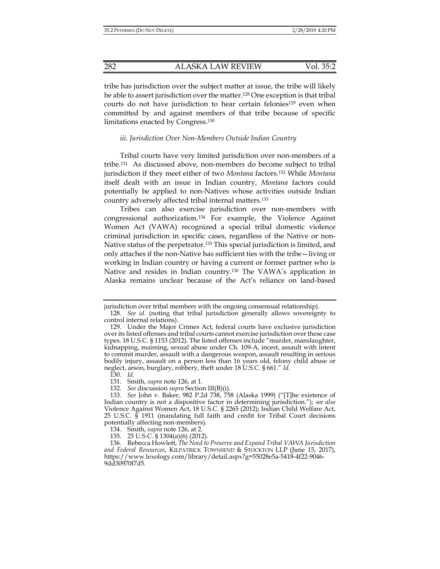tribe has jurisdiction over the subject matter at issue, the tribe will likely be able to assert jurisdiction over the matter.128 One exception is that tribal courts do not have jurisdiction to hear certain felonies<sup>129</sup> even when committed by and against members of that tribe because of specific limitations enacted by Congress.130

## *iii. Jurisdiction Over Non-Members Outside Indian Country*

Tribal courts have very limited jurisdiction over non-members of a tribe.131 As discussed above, non-members do become subject to tribal jurisdiction if they meet either of two *Montana* factors.132 While *Montana*  itself dealt with an issue in Indian country, *Montana* factors could potentially be applied to non-Natives whose activities outside Indian country adversely affected tribal internal matters.133

Tribes can also exercise jurisdiction over non-members with congressional authorization.134 For example, the Violence Against Women Act (VAWA) recognized a special tribal domestic violence criminal jurisdiction in specific cases, regardless of the Native or non-Native status of the perpetrator.135 This special jurisdiction is limited, and only attaches if the non-Native has sufficient ties with the tribe—living or working in Indian country or having a current or former partner who is Native and resides in Indian country.136 The VAWA's application in Alaska remains unclear because of the Act's reliance on land-based

jurisdiction over tribal members with the ongoing consensual relationship).

 <sup>128.</sup> *See id.* (noting that tribal jurisdiction generally allows sovereignty to control internal relations).

 <sup>129.</sup> Under the Major Crimes Act, federal courts have exclusive jurisdiction over its listed offenses and tribal courts cannot exercise jurisdiction over these case types. 18 U.S.C. § 1153 (2012). The listed offenses include "murder, manslaughter, kidnapping, maiming, sexual abuse under Ch. 109-A, incest, assault with intent to commit murder, assault with a dangerous weapon, assault resulting in serious bodily injury, assault on a person less than 16 years old, felony child abuse or neglect, arson, burglary, robbery, theft under 18 U.S.C. § 661." *Id.*

 <sup>130.</sup> *Id.*

 <sup>131.</sup> Smith, *supra* note 126, at 1.

 <sup>132.</sup> *See* discussion *supra* Section III(B)(i).

 <sup>133.</sup> *See* John v. Baker, 982 P.2d 738, 758 (Alaska 1999) ("[T]he existence of Indian country is not a dispositive factor in determining jurisdiction."); *see also*  Violence Against Women Act, 18 U.S.C. § 2265 (2012); Indian Child Welfare Act, 25 U.S.C. § 1911 (mandating full faith and credit for Tribal Court decisions potentially affecting non-members).

 <sup>134.</sup> Smith, *supra* note 126, at 2.

 <sup>135. 25</sup> U.S.C. § 1304(a)(6) (2012).

 <sup>136.</sup> Rebecca Howlett, *The Need to Preserve and Expand Tribal VAWA Jurisdiction and Federal Resources*, KILPATRICK TOWNSEND & STOCKTON LLP (June 15, 2017), https://www.lexology.com/library/detail.aspx?g=55028e5a-5418-4f22-9046- 9dd30970f7d5.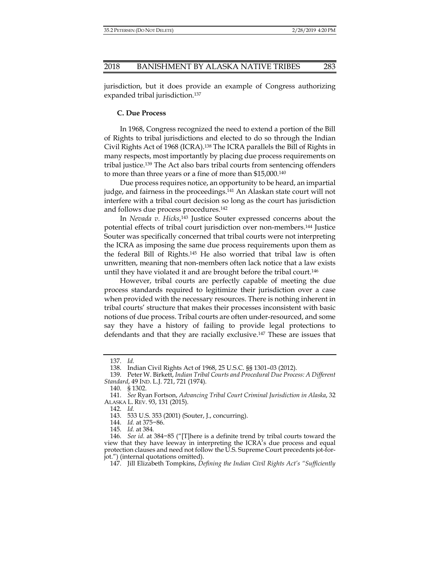jurisdiction, but it does provide an example of Congress authorizing expanded tribal jurisdiction.137

#### **C. Due Process**

In 1968, Congress recognized the need to extend a portion of the Bill of Rights to tribal jurisdictions and elected to do so through the Indian Civil Rights Act of 1968 (ICRA).138 The ICRA parallels the Bill of Rights in many respects, most importantly by placing due process requirements on tribal justice.139 The Act also bars tribal courts from sentencing offenders to more than three years or a fine of more than \$15,000.140

Due process requires notice, an opportunity to be heard, an impartial judge, and fairness in the proceedings.<sup>141</sup> An Alaskan state court will not interfere with a tribal court decision so long as the court has jurisdiction and follows due process procedures.<sup>142</sup>

In *Nevada v. Hicks*, 143 Justice Souter expressed concerns about the potential effects of tribal court jurisdiction over non-members.144 Justice Souter was specifically concerned that tribal courts were not interpreting the ICRA as imposing the same due process requirements upon them as the federal Bill of Rights.145 He also worried that tribal law is often unwritten, meaning that non-members often lack notice that a law exists until they have violated it and are brought before the tribal court.146

However, tribal courts are perfectly capable of meeting the due process standards required to legitimize their jurisdiction over a case when provided with the necessary resources. There is nothing inherent in tribal courts' structure that makes their processes inconsistent with basic notions of due process. Tribal courts are often under-resourced, and some say they have a history of failing to provide legal protections to defendants and that they are racially exclusive.147 These are issues that

142. *Id.* 

143. 533 U.S. 353 (2001) (Souter, J., concurring).

 <sup>137.</sup> *Id.* 

 <sup>138.</sup> Indian Civil Rights Act of 1968, 25 U.S.C. §§ 1301–03 (2012).

 <sup>139.</sup> Peter W. Birkett, *Indian Tribal Courts and Procedural Due Process: A Different Standard*, 49 IND. L.J. 721, 721 (1974).

 <sup>140. § 1302.</sup> 

 <sup>141.</sup> *See* Ryan Fortson, *Advancing Tribal Court Criminal Jurisdiction in Alaska*, 32 ALASKA L. REV. 93, 131 (2015).

 <sup>144.</sup> *Id.* at 375−86.

 <sup>145.</sup> *Id.* at 384*.* 

 <sup>146.</sup> *See id.* at 384−85 ("[T]here is a definite trend by tribal courts toward the view that they have leeway in interpreting the ICRA's due process and equal protection clauses and need not follow the U.S. Supreme Court precedents jot-forjot.") (internal quotations omitted).

 <sup>147.</sup> Jill Elizabeth Tompkins, *Defining the Indian Civil Rights Act's "Sufficiently*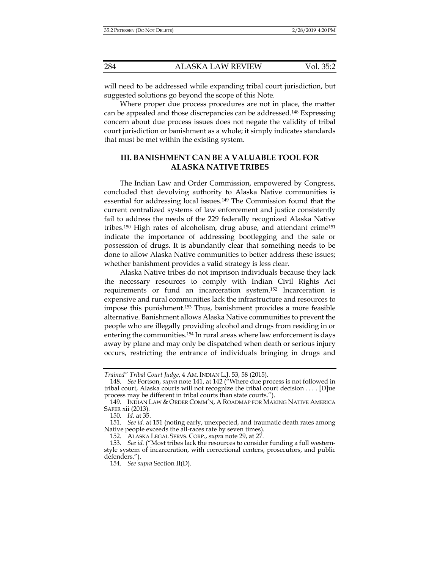will need to be addressed while expanding tribal court jurisdiction, but suggested solutions go beyond the scope of this Note.

Where proper due process procedures are not in place, the matter can be appealed and those discrepancies can be addressed.148 Expressing concern about due process issues does not negate the validity of tribal court jurisdiction or banishment as a whole; it simply indicates standards that must be met within the existing system.

# **III. BANISHMENT CAN BE A VALUABLE TOOL FOR ALASKA NATIVE TRIBES**

The Indian Law and Order Commission, empowered by Congress, concluded that devolving authority to Alaska Native communities is essential for addressing local issues.149 The Commission found that the current centralized systems of law enforcement and justice consistently fail to address the needs of the 229 federally recognized Alaska Native tribes.150 High rates of alcoholism, drug abuse, and attendant crime151 indicate the importance of addressing bootlegging and the sale or possession of drugs. It is abundantly clear that something needs to be done to allow Alaska Native communities to better address these issues; whether banishment provides a valid strategy is less clear.

Alaska Native tribes do not imprison individuals because they lack the necessary resources to comply with Indian Civil Rights Act requirements or fund an incarceration system.152 Incarceration is expensive and rural communities lack the infrastructure and resources to impose this punishment.153 Thus, banishment provides a more feasible alternative. Banishment allows Alaska Native communities to prevent the people who are illegally providing alcohol and drugs from residing in or entering the communities.154 In rural areas where law enforcement is days away by plane and may only be dispatched when death or serious injury occurs, restricting the entrance of individuals bringing in drugs and

152. ALASKA LEGAL SERVS. CORP., *supra* note 29, at 27.

*Trained" Tribal Court Judge*, 4 AM. INDIAN L.J. 53, 58 (2015).

 <sup>148.</sup> *See* Fortson, *supra* note 141, at 142 ("Where due process is not followed in tribal court, Alaska courts will not recognize the tribal court decision . . . . [D]ue process may be different in tribal courts than state courts.").

 <sup>149.</sup> INDIAN LAW & ORDER COMM'N, A ROADMAP FOR MAKING NATIVE AMERICA SAFER xii (2013).

 <sup>150.</sup> *Id.* at 35.

 <sup>151.</sup> *See id.* at 151 (noting early, unexpected, and traumatic death rates among Native people exceeds the all-races rate by seven times).

 <sup>153.</sup> *See id.* ("Most tribes lack the resources to consider funding a full westernstyle system of incarceration, with correctional centers, prosecutors, and public defenders.").

 <sup>154.</sup> *See supra* Section II(D).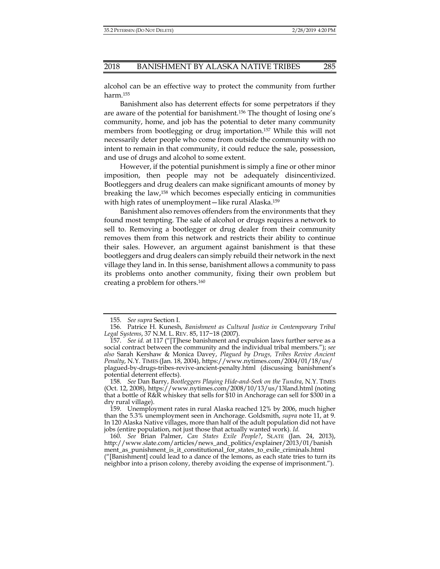alcohol can be an effective way to protect the community from further harm.155

Banishment also has deterrent effects for some perpetrators if they are aware of the potential for banishment.156 The thought of losing one's community, home, and job has the potential to deter many community members from bootlegging or drug importation.157 While this will not necessarily deter people who come from outside the community with no intent to remain in that community, it could reduce the sale, possession, and use of drugs and alcohol to some extent.

However, if the potential punishment is simply a fine or other minor imposition, then people may not be adequately disincentivized. Bootleggers and drug dealers can make significant amounts of money by breaking the law,158 which becomes especially enticing in communities with high rates of unemployment—like rural Alaska.159

Banishment also removes offenders from the environments that they found most tempting. The sale of alcohol or drugs requires a network to sell to. Removing a bootlegger or drug dealer from their community removes them from this network and restricts their ability to continue their sales. However, an argument against banishment is that these bootleggers and drug dealers can simply rebuild their network in the next village they land in. In this sense, banishment allows a community to pass its problems onto another community, fixing their own problem but creating a problem for others.160

 <sup>155.</sup> *See supra* Section I.

 <sup>156.</sup> Patrice H. Kunesh, *Banishment as Cultural Justice in Contemporary Tribal Legal Systems*, 37 N.M. L. REV. 85, 117−18 (2007).

 <sup>157.</sup> *See id.* at 117 ("[T]hese banishment and expulsion laws further serve as a social contract between the community and the individual tribal members."); *see also* Sarah Kershaw & Monica Davey, *Plagued by Drugs, Tribes Revive Ancient Penalty*, N.Y. TIMES (Jan. 18, 2004), https://www.nytimes.com/2004/01/18/us/ plagued-by-drugs-tribes-revive-ancient-penalty.html (discussing banishment's potential deterrent effects).

 <sup>158.</sup> *See* Dan Barry, *Bootleggers Playing Hide-and-Seek on the Tundra*, N.Y. TIMES (Oct. 12, 2008), https://www.nytimes.com/2008/10/13/us/13land.html (noting that a bottle of R&R whiskey that sells for \$10 in Anchorage can sell for \$300 in a dry rural village).

 <sup>159.</sup> Unemployment rates in rural Alaska reached 12% by 2006, much higher than the 5.3% unemployment seen in Anchorage. Goldsmith, *supra* note 11, at 9. In 120 Alaska Native villages, more than half of the adult population did not have jobs (entire population, not just those that actually wanted work). *Id.* 

 <sup>160.</sup> *See* Brian Palmer, *Can States Exile People?*, SLATE (Jan. 24, 2013), http://www.slate.com/articles/news\_and\_politics/explainer/2013/01/banish ment\_as\_punishment\_is\_it\_constitutional\_for\_states\_to\_exile\_criminals.html ("[Banishment] could lead to a dance of the lemons, as each state tries to turn its neighbor into a prison colony, thereby avoiding the expense of imprisonment.").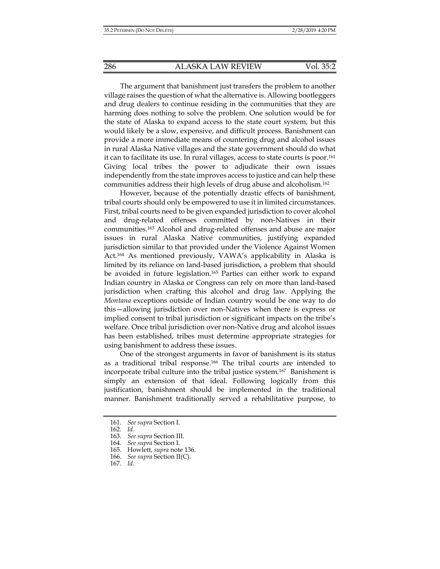The argument that banishment just transfers the problem to another village raises the question of what the alternative is. Allowing bootleggers and drug dealers to continue residing in the communities that they are harming does nothing to solve the problem. One solution would be for the state of Alaska to expand access to the state court system, but this would likely be a slow, expensive, and difficult process. Banishment can provide a more immediate means of countering drug and alcohol issues in rural Alaska Native villages and the state government should do what it can to facilitate its use. In rural villages, access to state courts is poor.161 Giving local tribes the power to adjudicate their own issues independently from the state improves access to justice and can help these communities address their high levels of drug abuse and alcoholism.162

However, because of the potentially drastic effects of banishment, tribal courts should only be empowered to use it in limited circumstances. First, tribal courts need to be given expanded jurisdiction to cover alcohol and drug-related offenses committed by non-Natives in their communities.163 Alcohol and drug-related offenses and abuse are major issues in rural Alaska Native communities, justifying expanded jurisdiction similar to that provided under the Violence Against Women Act.164 As mentioned previously, VAWA's applicability in Alaska is limited by its reliance on land-based jurisdiction, a problem that should be avoided in future legislation.<sup>165</sup> Parties can either work to expand Indian country in Alaska or Congress can rely on more than land-based jurisdiction when crafting this alcohol and drug law. Applying the *Montana* exceptions outside of Indian country would be one way to do this—allowing jurisdiction over non-Natives when there is express or implied consent to tribal jurisdiction or significant impacts on the tribe's welfare. Once tribal jurisdiction over non-Native drug and alcohol issues has been established, tribes must determine appropriate strategies for using banishment to address these issues.

One of the strongest arguments in favor of banishment is its status as a traditional tribal response.166 The tribal courts are intended to incorporate tribal culture into the tribal justice system.167 Banishment is simply an extension of that ideal. Following logically from this justification, banishment should be implemented in the traditional manner. Banishment traditionally served a rehabilitative purpose, to

 <sup>161.</sup> *See supra* Section I.

 <sup>162.</sup> *Id.* 

 <sup>163.</sup> *See supra* Section III.

 <sup>164.</sup> *See supra* Section I.

 <sup>165.</sup> Howlett, *supra* note 136.

 <sup>166.</sup> *See supra* Section II(C).

 <sup>167.</sup> *Id.*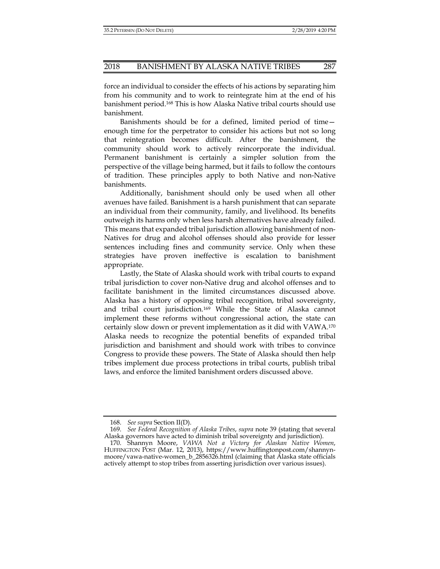force an individual to consider the effects of his actions by separating him from his community and to work to reintegrate him at the end of his banishment period.168 This is how Alaska Native tribal courts should use banishment.

Banishments should be for a defined, limited period of time enough time for the perpetrator to consider his actions but not so long that reintegration becomes difficult. After the banishment, the community should work to actively reincorporate the individual. Permanent banishment is certainly a simpler solution from the perspective of the village being harmed, but it fails to follow the contours of tradition. These principles apply to both Native and non-Native banishments.

Additionally, banishment should only be used when all other avenues have failed. Banishment is a harsh punishment that can separate an individual from their community, family, and livelihood. Its benefits outweigh its harms only when less harsh alternatives have already failed. This means that expanded tribal jurisdiction allowing banishment of non-Natives for drug and alcohol offenses should also provide for lesser sentences including fines and community service. Only when these strategies have proven ineffective is escalation to banishment appropriate.

Lastly, the State of Alaska should work with tribal courts to expand tribal jurisdiction to cover non-Native drug and alcohol offenses and to facilitate banishment in the limited circumstances discussed above. Alaska has a history of opposing tribal recognition, tribal sovereignty, and tribal court jurisdiction.169 While the State of Alaska cannot implement these reforms without congressional action, the state can certainly slow down or prevent implementation as it did with VAWA.170 Alaska needs to recognize the potential benefits of expanded tribal jurisdiction and banishment and should work with tribes to convince Congress to provide these powers. The State of Alaska should then help tribes implement due process protections in tribal courts, publish tribal laws, and enforce the limited banishment orders discussed above.

 <sup>168.</sup> *See supra* Section II(D).

 <sup>169.</sup> *See Federal Recognition of Alaska Tribes*, *supra* note 39 (stating that several Alaska governors have acted to diminish tribal sovereignty and jurisdiction).

 <sup>170.</sup> Shannyn Moore, *VAWA Not a Victory for Alaskan Native Women*, HUFFINGTON POST (Mar. 12, 2013), https://www.huffingtonpost.com/shannynmoore/vawa-native-women\_b\_2856326.html (claiming that Alaska state officials actively attempt to stop tribes from asserting jurisdiction over various issues).